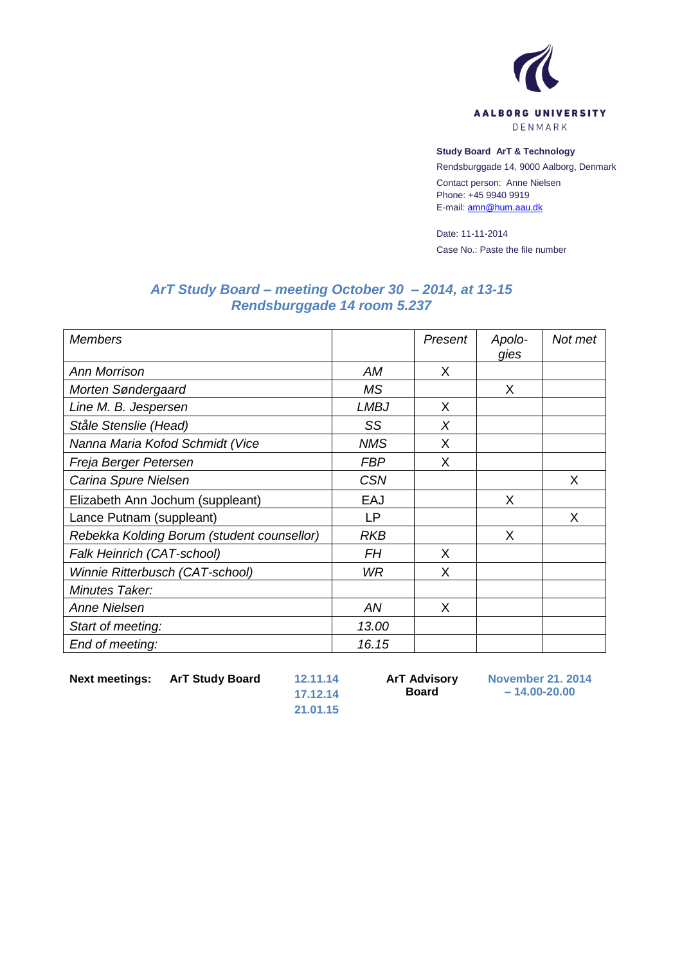

## **Study Board ArT & Technology**

Rendsburggade 14, 9000 Aalborg, Denmark

Contact person: Anne Nielsen Phone: +45 9940 9919 E-mail[: amn@hum.aau.dk](mailto:amn@hum.aau.dk)

Date: 11-11-2014 Case No.: Paste the file number

## *ArT Study Board – meeting October 30 – 2014, at 13-15 Rendsburggade 14 room 5.237*

| <b>Members</b>                             |             | Present | Apolo-<br>gies | Not met |
|--------------------------------------------|-------------|---------|----------------|---------|
| <b>Ann Morrison</b>                        | AM          | X       |                |         |
| Morten Søndergaard                         | <b>MS</b>   |         | X              |         |
| Line M. B. Jespersen                       | <b>LMBJ</b> | X       |                |         |
| Ståle Stenslie (Head)                      | SS          | X       |                |         |
| Nanna Maria Kofod Schmidt (Vice            | <b>NMS</b>  | X       |                |         |
| Freja Berger Petersen                      | <b>FBP</b>  | X       |                |         |
| Carina Spure Nielsen                       | <b>CSN</b>  |         |                | X       |
| Elizabeth Ann Jochum (suppleant)           | EAJ         |         | X              |         |
| Lance Putnam (suppleant)                   | LP          |         |                | X       |
| Rebekka Kolding Borum (student counsellor) | <b>RKB</b>  |         | X              |         |
| Falk Heinrich (CAT-school)                 | FΗ          | X       |                |         |
| Winnie Ritterbusch (CAT-school)            | WR          | X       |                |         |
| Minutes Taker:                             |             |         |                |         |
| <b>Anne Nielsen</b>                        | AN          | X       |                |         |
| Start of meeting:                          | 13.00       |         |                |         |
| End of meeting:                            | 16.15       |         |                |         |

**Next meetings: ArT Study Board 12.11.14**

**17.12.14 21.01.15** **ArT Advisory Board**

**November 21. 2014 – 14.00-20.00**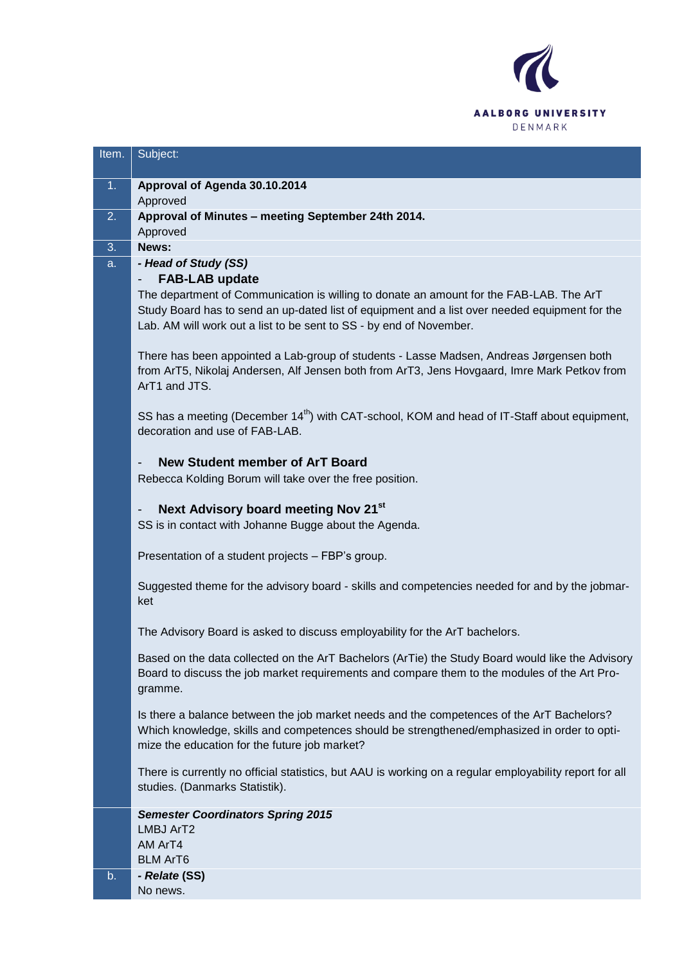

| Item. | Subject:                                                                                                                                  |
|-------|-------------------------------------------------------------------------------------------------------------------------------------------|
| 1.    | Approval of Agenda 30.10.2014                                                                                                             |
|       | Approved                                                                                                                                  |
| 2.    | Approval of Minutes - meeting September 24th 2014.                                                                                        |
|       | Approved                                                                                                                                  |
| 3.    | News:                                                                                                                                     |
| a.    | - Head of Study (SS)                                                                                                                      |
|       | <b>FAB-LAB update</b>                                                                                                                     |
|       | The department of Communication is willing to donate an amount for the FAB-LAB. The ArT                                                   |
|       | Study Board has to send an up-dated list of equipment and a list over needed equipment for the                                            |
|       | Lab. AM will work out a list to be sent to SS - by end of November.                                                                       |
|       | There has been appointed a Lab-group of students - Lasse Madsen, Andreas Jørgensen both                                                   |
|       | from ArT5, Nikolaj Andersen, Alf Jensen both from ArT3, Jens Hovgaard, Imre Mark Petkov from                                              |
|       | ArT1 and JTS.                                                                                                                             |
|       |                                                                                                                                           |
|       | SS has a meeting (December 14 <sup>th</sup> ) with CAT-school, KOM and head of IT-Staff about equipment,                                  |
|       | decoration and use of FAB-LAB.                                                                                                            |
|       |                                                                                                                                           |
|       | <b>New Student member of ArT Board</b>                                                                                                    |
|       | Rebecca Kolding Borum will take over the free position.                                                                                   |
|       | Next Advisory board meeting Nov 21 <sup>st</sup><br>$\overline{\phantom{m}}$                                                              |
|       | SS is in contact with Johanne Bugge about the Agenda.                                                                                     |
|       |                                                                                                                                           |
|       | Presentation of a student projects - FBP's group.                                                                                         |
|       | Suggested theme for the advisory board - skills and competencies needed for and by the jobmar-                                            |
|       | ket                                                                                                                                       |
|       |                                                                                                                                           |
|       | The Advisory Board is asked to discuss employability for the ArT bachelors.                                                               |
|       | Based on the data collected on the ArT Bachelors (ArTie) the Study Board would like the Advisory                                          |
|       | Board to discuss the job market requirements and compare them to the modules of the Art Pro-                                              |
|       | gramme.                                                                                                                                   |
|       | Is there a balance between the job market needs and the competences of the ArT Bachelors?                                                 |
|       | Which knowledge, skills and competences should be strengthened/emphasized in order to opti-                                               |
|       | mize the education for the future job market?                                                                                             |
|       |                                                                                                                                           |
|       | There is currently no official statistics, but AAU is working on a regular employability report for all<br>studies. (Danmarks Statistik). |
|       |                                                                                                                                           |
|       | <b>Semester Coordinators Spring 2015</b>                                                                                                  |
|       | LMBJ ArT2                                                                                                                                 |
|       | AM ArT4                                                                                                                                   |
|       | <b>BLM ArT6</b>                                                                                                                           |
| b.    | - Relate (SS)<br>No news.                                                                                                                 |
|       |                                                                                                                                           |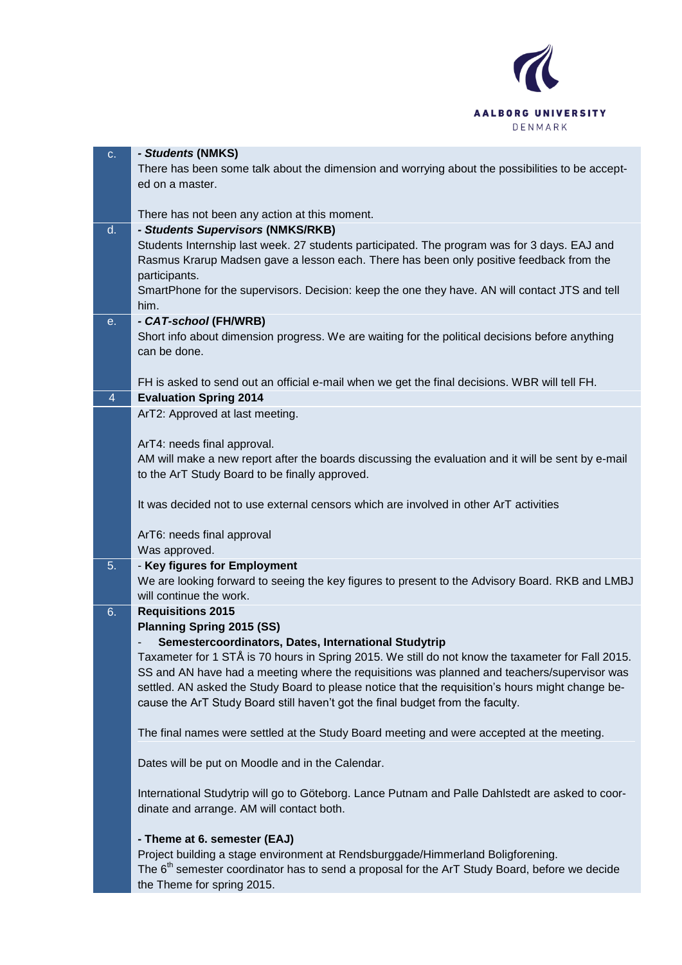

| C <sub>1</sub> | - Students (NMKS)                                                                                                                                                                            |
|----------------|----------------------------------------------------------------------------------------------------------------------------------------------------------------------------------------------|
|                | There has been some talk about the dimension and worrying about the possibilities to be accept-                                                                                              |
|                | ed on a master.                                                                                                                                                                              |
|                |                                                                                                                                                                                              |
|                | There has not been any action at this moment.                                                                                                                                                |
| d.             | - Students Supervisors (NMKS/RKB)                                                                                                                                                            |
|                | Students Internship last week. 27 students participated. The program was for 3 days. EAJ and                                                                                                 |
|                | Rasmus Krarup Madsen gave a lesson each. There has been only positive feedback from the                                                                                                      |
|                | participants.                                                                                                                                                                                |
|                | SmartPhone for the supervisors. Decision: keep the one they have. AN will contact JTS and tell                                                                                               |
|                | him.                                                                                                                                                                                         |
| е.             | - CAT-school (FH/WRB)                                                                                                                                                                        |
|                | Short info about dimension progress. We are waiting for the political decisions before anything                                                                                              |
|                | can be done.                                                                                                                                                                                 |
|                |                                                                                                                                                                                              |
|                | FH is asked to send out an official e-mail when we get the final decisions. WBR will tell FH.                                                                                                |
| 4              | <b>Evaluation Spring 2014</b>                                                                                                                                                                |
|                | ArT2: Approved at last meeting.                                                                                                                                                              |
|                | ArT4: needs final approval.                                                                                                                                                                  |
|                | AM will make a new report after the boards discussing the evaluation and it will be sent by e-mail                                                                                           |
|                | to the ArT Study Board to be finally approved.                                                                                                                                               |
|                |                                                                                                                                                                                              |
|                | It was decided not to use external censors which are involved in other ArT activities                                                                                                        |
|                |                                                                                                                                                                                              |
|                |                                                                                                                                                                                              |
|                |                                                                                                                                                                                              |
|                | ArT6: needs final approval<br>Was approved.                                                                                                                                                  |
| 5.             | - Key figures for Employment                                                                                                                                                                 |
|                | We are looking forward to seeing the key figures to present to the Advisory Board. RKB and LMBJ                                                                                              |
|                | will continue the work.                                                                                                                                                                      |
| 6.             | <b>Requisitions 2015</b>                                                                                                                                                                     |
|                | <b>Planning Spring 2015 (SS)</b>                                                                                                                                                             |
|                | Semestercoordinators, Dates, International Studytrip                                                                                                                                         |
|                | Taxameter for 1 STÅ is 70 hours in Spring 2015. We still do not know the taxameter for Fall 2015.                                                                                            |
|                | SS and AN have had a meeting where the requisitions was planned and teachers/supervisor was                                                                                                  |
|                | settled. AN asked the Study Board to please notice that the requisition's hours might change be-                                                                                             |
|                | cause the ArT Study Board still haven't got the final budget from the faculty.                                                                                                               |
|                |                                                                                                                                                                                              |
|                | The final names were settled at the Study Board meeting and were accepted at the meeting.                                                                                                    |
|                |                                                                                                                                                                                              |
|                | Dates will be put on Moodle and in the Calendar.                                                                                                                                             |
|                |                                                                                                                                                                                              |
|                | International Studytrip will go to Göteborg. Lance Putnam and Palle Dahlstedt are asked to coor-                                                                                             |
|                | dinate and arrange. AM will contact both.                                                                                                                                                    |
|                |                                                                                                                                                                                              |
|                | - Theme at 6. semester (EAJ)                                                                                                                                                                 |
|                | Project building a stage environment at Rendsburggade/Himmerland Boligforening.<br>The 6 <sup>th</sup> semester coordinator has to send a proposal for the ArT Study Board, before we decide |